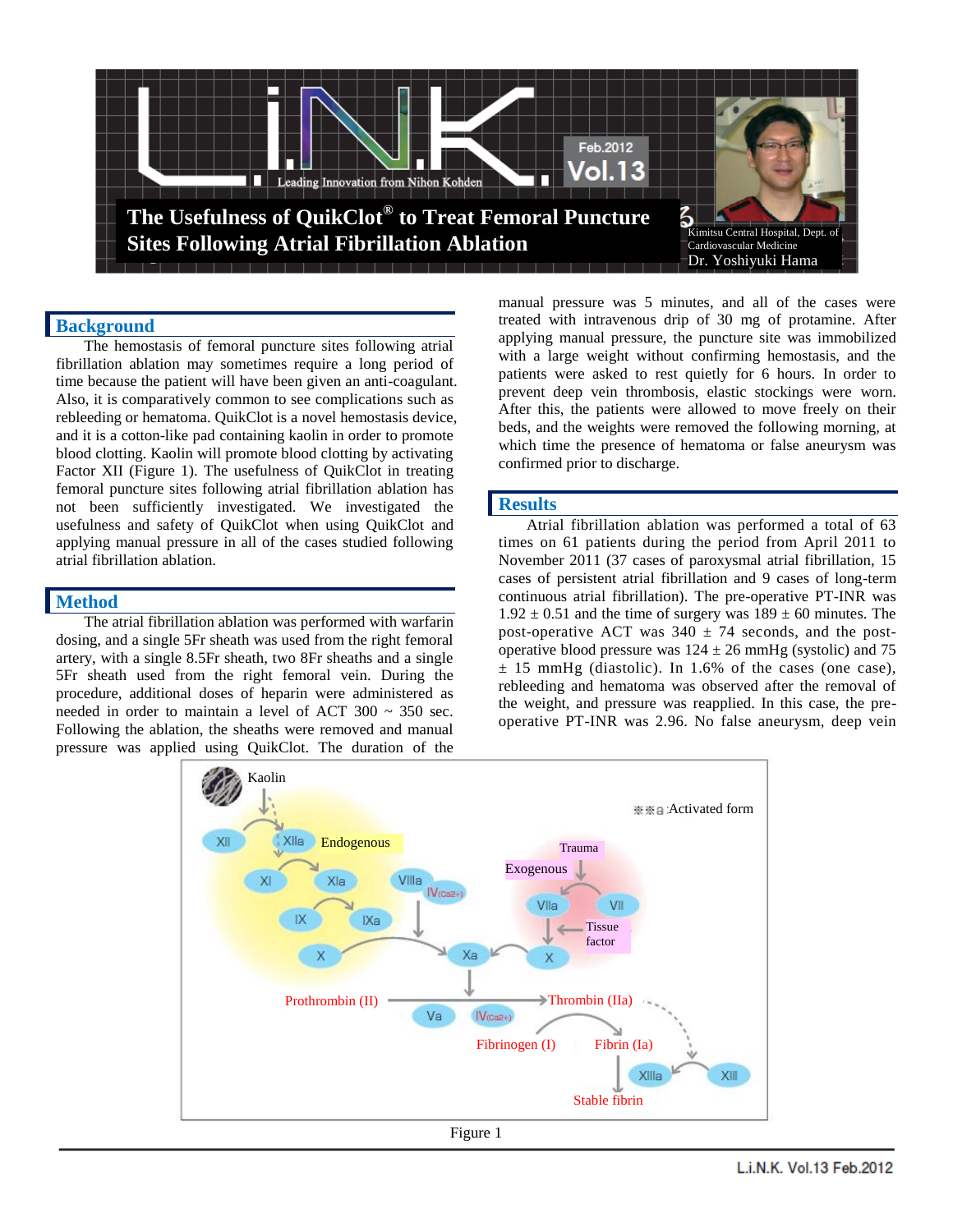

#### **Background**

The hemostasis of femoral puncture sites following atrial fibrillation ablation may sometimes require a long period of time because the patient will have been given an anti-coagulant. Also, it is comparatively common to see complications such as rebleeding or hematoma. QuikClot is a novel hemostasis device, and it is a cotton-like pad containing kaolin in order to promote blood clotting. Kaolin will promote blood clotting by activating Factor XII (Figure 1). The usefulness of QuikClot in treating femoral puncture sites following atrial fibrillation ablation has not been sufficiently investigated. We investigated the usefulness and safety of QuikClot when using QuikClot and applying manual pressure in all of the cases studied following atrial fibrillation ablation.

#### **Method**

The atrial fibrillation ablation was performed with warfarin dosing, and a single 5Fr sheath was used from the right femoral artery, with a single 8.5Fr sheath, two 8Fr sheaths and a single 5Fr sheath used from the right femoral vein. During the procedure, additional doses of heparin were administered as needed in order to maintain a level of ACT  $300 \sim 350$  sec. Following the ablation, the sheaths were removed and manual pressure was applied using QuikClot. The duration of the

manual pressure was 5 minutes, and all of the cases were treated with intravenous drip of 30 mg of protamine. After applying manual pressure, the puncture site was immobilized with a large weight without confirming hemostasis, and the patients were asked to rest quietly for 6 hours. In order to prevent deep vein thrombosis, elastic stockings were worn. After this, the patients were allowed to move freely on their beds, and the weights were removed the following morning, at which time the presence of hematoma or false aneurysm was confirmed prior to discharge.

#### **Results**

Atrial fibrillation ablation was performed a total of 63 times on 61 patients during the period from April 2011 to November 2011 (37 cases of paroxysmal atrial fibrillation, 15 cases of persistent atrial fibrillation and 9 cases of long-term continuous atrial fibrillation). The pre-operative PT-INR was  $1.92 \pm 0.51$  and the time of surgery was  $189 \pm 60$  minutes. The post-operative ACT was  $340 \pm 74$  seconds, and the postoperative blood pressure was  $124 \pm 26$  mmHg (systolic) and 75  $\pm$  15 mmHg (diastolic). In 1.6% of the cases (one case), rebleeding and hematoma was observed after the removal of the weight, and pressure was reapplied. In this case, the preoperative PT-INR was 2.96. No false aneurysm, deep vein



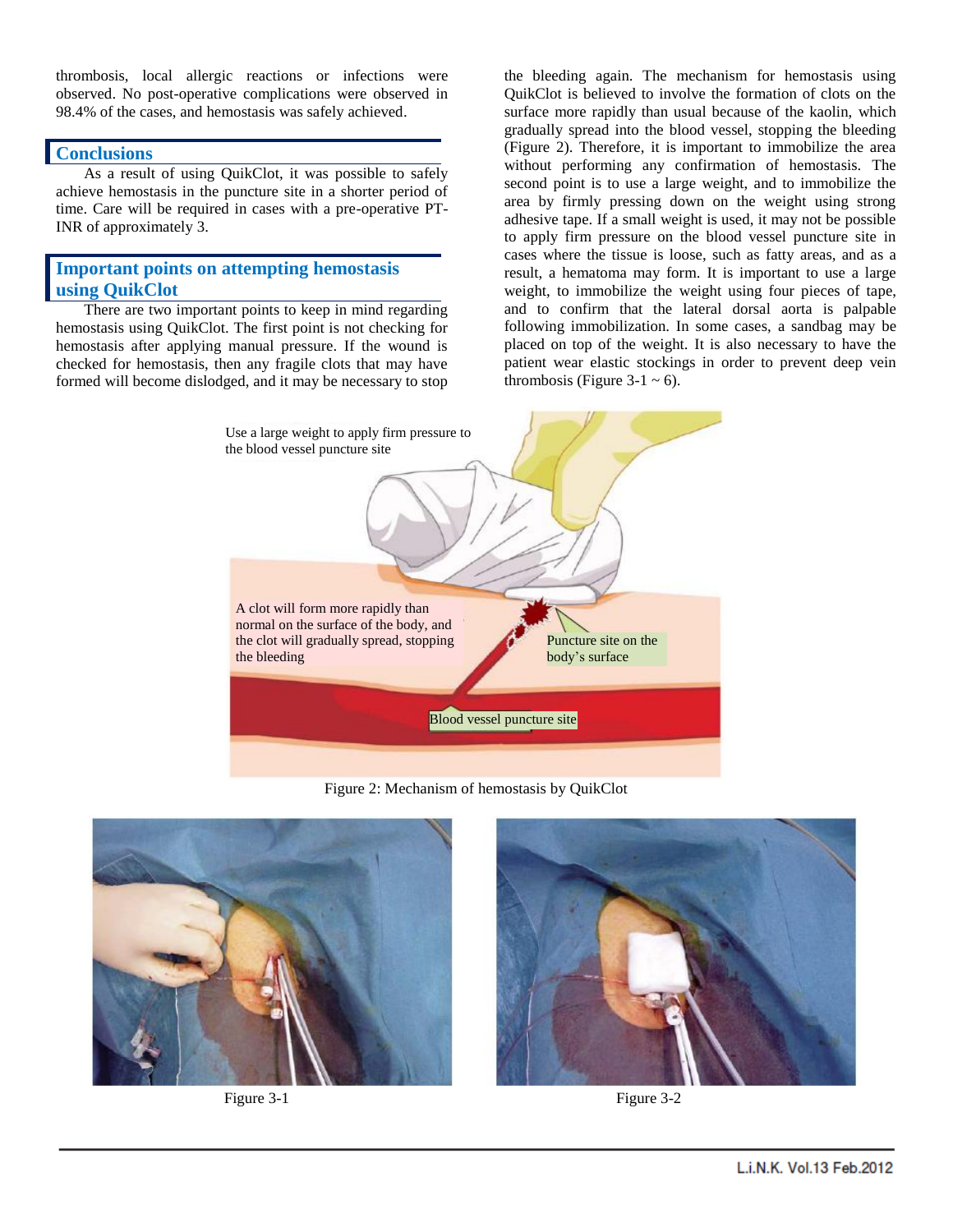thrombosis, local allergic reactions or infections were observed. No post-operative complications were observed in 98.4% of the cases, and hemostasis was safely achieved.

#### **Conclusions**

As a result of using QuikClot, it was possible to safely achieve hemostasis in the puncture site in a shorter period of time. Care will be required in cases with a pre-operative PT-INR of approximately 3.

### **Important points on attempting hemostasis using QuikClot**

There are two important points to keep in mind regarding hemostasis using QuikClot. The first point is not checking for hemostasis after applying manual pressure. If the wound is checked for hemostasis, then any fragile clots that may have formed will become dislodged, and it may be necessary to stop the bleeding again. The mechanism for hemostasis using QuikClot is believed to involve the formation of clots on the surface more rapidly than usual because of the kaolin, which gradually spread into the blood vessel, stopping the bleeding (Figure 2). Therefore, it is important to immobilize the area without performing any confirmation of hemostasis. The second point is to use a large weight, and to immobilize the area by firmly pressing down on the weight using strong adhesive tape. If a small weight is used, it may not be possible to apply firm pressure on the blood vessel puncture site in cases where the tissue is loose, such as fatty areas, and as a result, a hematoma may form. It is important to use a large weight, to immobilize the weight using four pieces of tape, and to confirm that the lateral dorsal aorta is palpable following immobilization. In some cases, a sandbag may be placed on top of the weight. It is also necessary to have the patient wear elastic stockings in order to prevent deep vein thrombosis (Figure 3-1  $\sim$  6).



Figure 2: Mechanism of hemostasis by QuikClot





Figure 3-1 Figure 3-2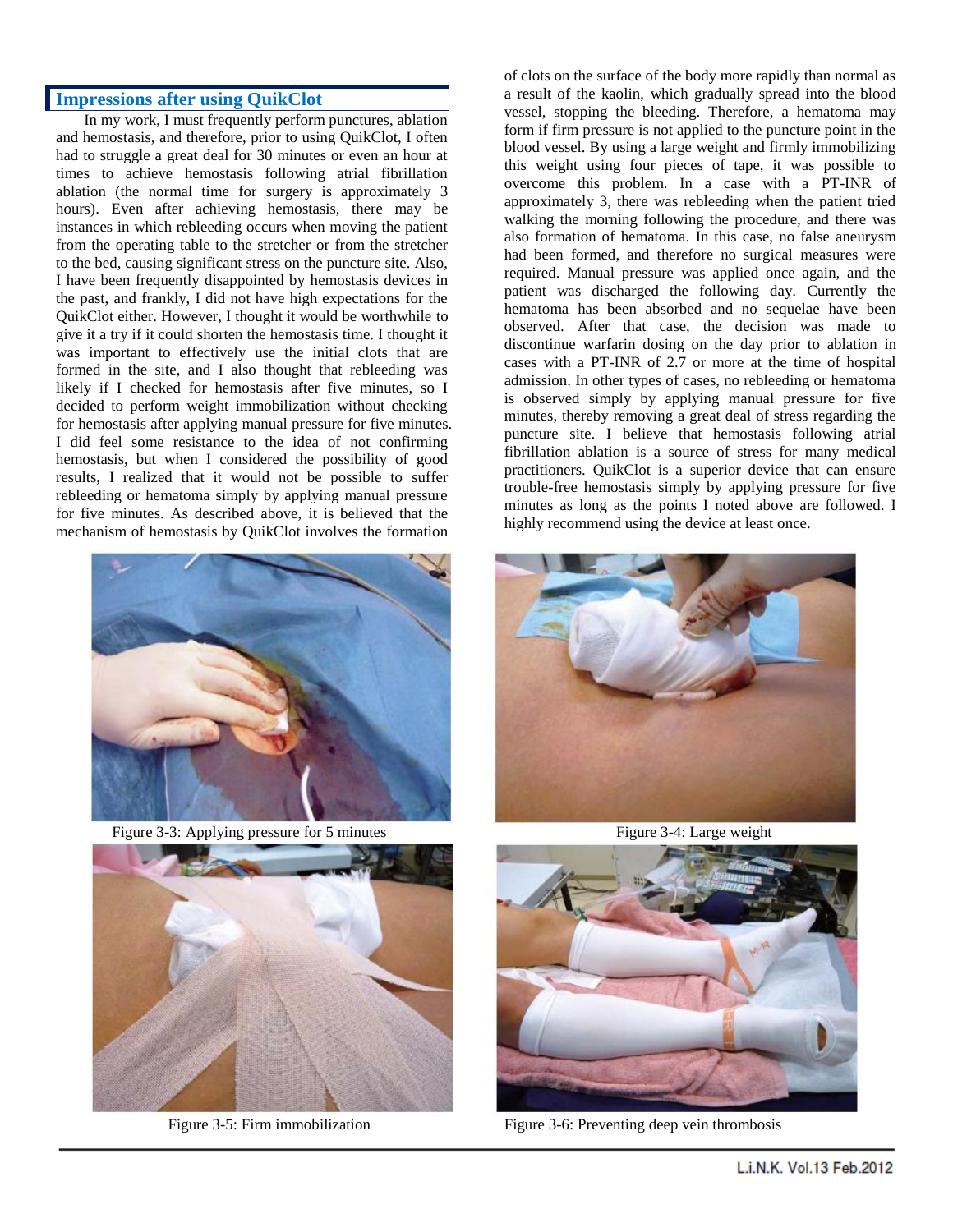#### **Impressions after using QuikClot**

In my work, I must frequently perform punctures, ablation and hemostasis, and therefore, prior to using QuikClot, I often had to struggle a great deal for 30 minutes or even an hour at times to achieve hemostasis following atrial fibrillation ablation (the normal time for surgery is approximately 3 hours). Even after achieving hemostasis, there may be instances in which rebleeding occurs when moving the patient from the operating table to the stretcher or from the stretcher to the bed, causing significant stress on the puncture site. Also, I have been frequently disappointed by hemostasis devices in the past, and frankly, I did not have high expectations for the QuikClot either. However, I thought it would be worthwhile to give it a try if it could shorten the hemostasis time. I thought it was important to effectively use the initial clots that are formed in the site, and I also thought that rebleeding was likely if I checked for hemostasis after five minutes, so I decided to perform weight immobilization without checking for hemostasis after applying manual pressure for five minutes. I did feel some resistance to the idea of not confirming hemostasis, but when I considered the possibility of good results, I realized that it would not be possible to suffer rebleeding or hematoma simply by applying manual pressure for five minutes. As described above, it is believed that the mechanism of hemostasis by QuikClot involves the formation



Figure 3-3: Applying pressure for 5 minutes Figure 3-4: Large weight



of clots on the surface of the body more rapidly than normal as a result of the kaolin, which gradually spread into the blood vessel, stopping the bleeding. Therefore, a hematoma may form if firm pressure is not applied to the puncture point in the blood vessel. By using a large weight and firmly immobilizing this weight using four pieces of tape, it was possible to overcome this problem. In a case with a PT-INR of approximately 3, there was rebleeding when the patient tried walking the morning following the procedure, and there was also formation of hematoma. In this case, no false aneurysm had been formed, and therefore no surgical measures were required. Manual pressure was applied once again, and the patient was discharged the following day. Currently the hematoma has been absorbed and no sequelae have been observed. After that case, the decision was made to discontinue warfarin dosing on the day prior to ablation in cases with a PT-INR of 2.7 or more at the time of hospital admission. In other types of cases, no rebleeding or hematoma is observed simply by applying manual pressure for five minutes, thereby removing a great deal of stress regarding the puncture site. I believe that hemostasis following atrial fibrillation ablation is a source of stress for many medical practitioners. QuikClot is a superior device that can ensure trouble-free hemostasis simply by applying pressure for five minutes as long as the points I noted above are followed. I highly recommend using the device at least once.





Figure 3-5: Firm immobilization Figure 3-6: Preventing deep vein thrombosis